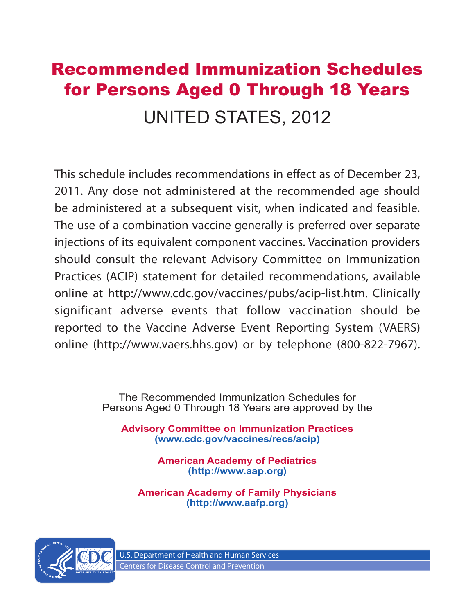# Recommended Immunization Schedules for Persons Aged 0 Through 18 Years UNITED STATES, 2012

This schedule includes recommendations in effect as of December 23, 2011. Any dose not administered at the recommended age should be administered at a subsequent visit, when indicated and feasible. The use of a combination vaccine generally is preferred over separate injections of its equivalent component vaccines. Vaccination providers should consult the relevant Advisory Committee on Immunization Practices (ACIP) statement for detailed recommendations, available online at http://www.cdc.gov/vaccines/pubs/acip-list.htm. Clinically significant adverse events that follow vaccination should be reported to the Vaccine Adverse Event Reporting System (VAERS) online (http://www.vaers.hhs.gov) or by telephone (800-822-7967).

> The Recommended Immunization Schedules for Persons Aged 0 Through 18 Years are approved by the

**Advisory Committee on Immunization Practices (www.cdc.gov/vaccines/recs/acip)**

> **American Academy of Pediatrics (http://www.aap.org)**

**American Academy of Family Physicians (http://www.aafp.org)**

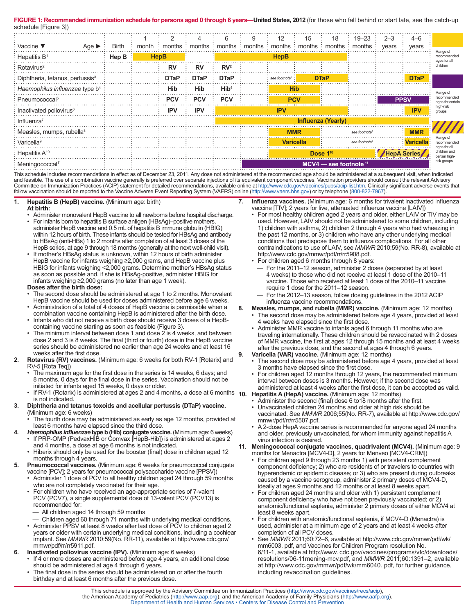FIGURE 1: Recommended immunization schedule for persons aged 0 through 6 years—United States, 2012 (for those who fall behind or start late, see the catch-up schedule [Figure 3])

| Vaccine ▼<br>Age $\blacktriangleright$      | Birth |             | 2           | 4           | 6                          | 9 | 12                            | 15               | 18                   | $19 - 23$ :<br>month : months : months : months : months : months : months : months : years | $2 - 3$     | $4 - 6$<br>years |                                         |
|---------------------------------------------|-------|-------------|-------------|-------------|----------------------------|---|-------------------------------|------------------|----------------------|---------------------------------------------------------------------------------------------|-------------|------------------|-----------------------------------------|
| $:$ Hepatitis B <sup>1</sup>                | Hep B | <b>HepB</b> |             |             |                            |   | <b>HepB</b>                   |                  |                      |                                                                                             |             |                  | Range of<br>recommended<br>ages for all |
| Rotavirus <sup>2</sup>                      |       |             | RV          | <b>RV</b>   | RV <sup>2</sup>            |   |                               |                  |                      |                                                                                             |             |                  | children                                |
| Diphtheria, tetanus, pertussis <sup>3</sup> |       |             | <b>DTaP</b> | <b>DTaP</b> | <b>DTaP</b>                |   | : see footnote <sup>3</sup> : |                  | <b>DTaP</b>          |                                                                                             |             | <b>DTaP</b>      |                                         |
| Haemophilus influenzae type b <sup>4</sup>  |       |             | Hib         | <b>Hib</b>  | Hib <sup>4</sup>           |   |                               | <b>Hib</b>       |                      |                                                                                             |             |                  | Range of                                |
| Pneumococcal <sup>5</sup>                   |       |             | <b>PCV</b>  | <b>PCV</b>  | <b>PCV</b>                 |   |                               | <b>PCV</b>       |                      |                                                                                             |             | <b>PPSV</b>      | recommended<br>ages for certain         |
| : Inactivated poliovirus <sup>6</sup>       |       |             | <b>IPV</b>  | <b>IPV</b>  | <b>IPV</b>                 |   |                               |                  | <b>IPV</b>           | high-risk<br>groups                                                                         |             |                  |                                         |
| Influenza <sup>7</sup>                      |       |             |             |             | <b>Influenza (Yearly)</b>  |   |                               |                  |                      |                                                                                             |             |                  |                                         |
| : Measles, mumps, rubella <sup>8</sup>      |       |             |             |             |                            |   | <b>MMR</b>                    |                  |                      | see footnote <sup>8</sup>                                                                   |             | <b>MMR</b>       |                                         |
| Varicella <sup>9</sup>                      |       |             |             |             |                            |   |                               | <b>Varicella</b> |                      | see footnote <sup>9</sup>                                                                   |             | : Varicella      | Range of<br>recommended<br>ages for all |
| Hepatitis A <sup>10</sup>                   |       |             |             |             |                            |   |                               |                  | Dose 1 <sup>10</sup> |                                                                                             | HepA Series |                  | children and<br>certain high-           |
| Meningococcal <sup>11</sup>                 |       |             |             |             | $MCV4$ — see footnote $11$ |   |                               | risk groups      |                      |                                                                                             |             |                  |                                         |

This schedule includes recommendations in effect as of December 23, 2011. Any dose not administered at the recommended age should be administered at a subsequent visit, when indicated and feasible. The use of a combination vaccine generally is preferred over separate injections of its equivalent component vaccines. Vaccination providers should consult the relevant Advisory Committee on Immunization Practices (ACIP) statement for detailed recommendations, available online at http://www.cdc.gov/vaccines/pubs/acip-list.htm. Clinically significant adverse events that follow vaccination should be reported to the Vaccine Adverse Event Reporting System (VAERS) online (http://www.vaers.hhs.gov) or by telephone (800-822-7967).

#### **1. Hepatitis B (HepB) vaccine.** (Minimum age: birth) **At birth:**

- Administer monovalent HepB vaccine to all newborns before hospital discharge.
- For infants born to hepatitis B surface antigen (HBsAg)–positive mothers administer HepB vaccine and 0.5 mL of hepatitis B immune globulin (HBIG) within 12 hours of birth. These infants should be tested for HBsAg and antibody to HBsAg (anti-HBs) 1 to 2 months after completion of at least 3 doses of the HepB series, at age 9 through 18 months (generally at the next well-child visit).
- If mother's HBsAg status is unknown, within 12 hours of birth administer HepB vaccine for infants weighing ≥2,000 grams, and HepB vaccine plus HBIG for infants weighing <2,000 grams. Determine mother's HBsAg status as soon as possible and, if she is HBsAg-positive, administer HBIG for infants weighing ≥2,000 grams (no later than age 1 week).

#### **Doses after the birth dose:**

- The second dose should be administered at age 1 to 2 months. Monovalent HepB vaccine should be used for doses administered before age 6 weeks.
- Administration of a total of 4 doses of HepB vaccine is permissible when a combination vaccine containing HepB is administered after the birth dose. • Infants who did not receive a birth dose should receive 3 doses of a HepB-
- containing vaccine starting as soon as feasible (Figure 3). The minimum interval between dose 1 and dose 2 is 4 weeks, and between
- dose 2 and 3 is 8 weeks. The final (third or fourth) dose in the HepB vaccine series should be administered no earlier than age 24 weeks and at least 16 weeks after the first dose.
- **2. Rotavirus (RV) vaccines.** (Minimum age: 6 weeks for both RV-1 [Rotarix] and RV-5 [Rota Teq])
	- The maximum age for the first dose in the series is 14 weeks, 6 days; and 8 months, 0 days for the final dose in the series. Vaccination should not be initiated for infants aged 15 weeks, 0 days or older.
	- If RV-1 (Rotarix) is administered at ages 2 and 4 months, a dose at 6 months **10. Hepatitis A (HepA) vaccine.** (Minimum age: 12 months) is not indicated.
- **3. Diphtheria and tetanus toxoids and acellular pertussis (DTaP) vaccine.**  (Minimum age: 6 weeks)
	- The fourth dose may be administered as early as age 12 months, provided at least 6 months have elapsed since the third dose.
	- **4.** *Haemophilus influenzae* **type b (Hib) conjugate vaccine.** (Minimum age: 6 weeks) • If PRP-OMP (PedvaxHIB or Comvax [HepB-Hib]) is administered at ages 2
	- and 4 months, a dose at age 6 months is not indicated. • Hiberix should only be used for the booster (final) dose in children aged 12
	- months through 4 years.
- **5. Pneumococcal vaccines.** (Minimum age: 6 weeks for pneumococcal conjugate vaccine [PCV]; 2 years for pneumococcal polysaccharide vaccine [PPSV])
	- Administer 1 dose of PCV to all healthy children aged 24 through 59 months who are not completely vaccinated for their age.
	- For children who have received an age-appropriate series of 7-valent PCV (PCV7), a single supplemental dose of 13-valent PCV (PCV13) is recommended for:
	- All children aged 14 through 59 months
	- Children aged 60 through 71 months with underlying medical conditions. • Administer PPSV at least 8 weeks after last dose of PCV to children aged 2
	- years or older with certain underlying medical conditions, including a cochlear implant. See *MMWR* 2010:59(No. RR-11), available at http://www.cdc.gov/ mmwr/pdf/rr/rr5911.pdf.
- **6. Inactivated poliovirus vaccine (IPV).** (Minimum age: 6 weeks)
	- If 4 or more doses are administered before age 4 years, an additional dose should be administered at age 4 through 6 years.
	- The final dose in the series should be administered on or after the fourth birthday and at least 6 months after the previous dose.
- **7. Influenza vaccines.** (Minimum age: 6 months for trivalent inactivated influenza vaccine [TIV]; 2 years for live, attenuated influenza vaccine [LAIV])
- For most healthy children aged 2 years and older, either LAIV or TIV may be used. However, LAIV should not be administered to some children, including 1) children with asthma, 2) children 2 through 4 years who had wheezing in the past 12 months, or 3) children who have any other underlying medical conditions that predispose them to influenza complications. For all other contraindications to use of LAIV, see *MMWR* 2010;59(No. RR-8), available at http://www.cdc.gov/mmwr/pdf/rr/rr5908.pdf.
- For children aged 6 months through 8 years:
	- For the 2011–12 season, administer 2 doses (separated by at least 4 weeks) to those who did not receive at least 1 dose of the 2010–11 vaccine. Those who received at least 1 dose of the 2010–11 vaccine require 1 dose for the 2011–12 season.
	- For the 2012-13 season, follow dosing guidelines in the 2012 ACIP influenza vaccine recommendations.
- **8. Measles, mumps, and rubella (MMR) vaccine.** (Minimum age: 12 months)
	- The second dose may be administered before age 4 years, provided at least 4 weeks have elapsed since the first dose.
	- Administer MMR vaccine to infants aged 6 through 11 months who are traveling internationally. These children should be revaccinated with 2 doses of MMR vaccine, the first at ages 12 through 15 months and at least 4 weeks after the previous dose, and the second at ages 4 through 6 years.
- **9. Varicella (VAR) vaccine.** (Minimum age: 12 months)
	- The second dose may be administered before age 4 years, provided at least 3 months have elapsed since the first dose.
	- For children aged 12 months through 12 years, the recommended minimum interval between doses is 3 months. However, if the second dose was administered at least 4 weeks after the first dose, it can be accepted as valid.
	-
	- Administer the second (final) dose 6 to 18 months after the first. Unvaccinated children 24 months and older at high risk should be vaccinated. See *MMWR* 2006;55(No. RR-7), available at http://www.cdc.gov/
	- mmwr/pdf/rr/rr5507.pdf. • A 2-dose HepA vaccine series is recommended for anyone aged 24 months and older, previously unvaccinated, for whom immunity against hepatitis A virus infection is desired.

**11. Meningococcal conjugate vaccines, quadrivalent (MCV4).** (Minimum age: 9 months for Menactra [MCV4-D], 2 years for Menveo [MCV4-CRM])

- For children aged 9 through 23 months 1) with persistent complement component deficiency; 2) who are residents of or travelers to countries with hyperendemic or epidemic disease; or 3) who are present during outbreaks caused by a vaccine serogroup, administer 2 primary doses of MCV4-D, ideally at ages 9 months and 12 months or at least 8 weeks apart.
- For children aged 24 months and older with 1) persistent complement component deficiency who have not been previously vaccinated; or 2) anatomic/functional asplenia, administer 2 primary doses of either MCV4 at least 8 weeks apart.
- For children with anatomic/functional asplenia, if MCV4-D (Menactra) is used, administer at a minimum age of 2 years and at least 4 weeks after completion of all PCV doses.
- See *MMWR* 2011;60:72–6, available at http://www.cdc.gov/mmwr/pdf/wk/ mm6003. pdf, and Vaccines for Children Program resolution No. 6/11-1, available at http://www. cdc.gov/vaccines/programs/vfc/downloads/ resolutions/06-11mening-mcv.pdf, and *MMWR* 2011;60:1391–2, available at http://www.cdc.gov/mmwr/pdf/wk/mm6040. pdf, for further guidance, including revaccination guidelines.

This schedule is approved by the Advisory Committee on Immunization Practices (http://www.cdc.gov/vaccines/recs/acip), the American Academy of Pediatrics (http://www.aap.org), and the American Academy of Family Physicians (http://www.aafp.org). Department of Health and Human Services • Centers for Disease Control and Prevention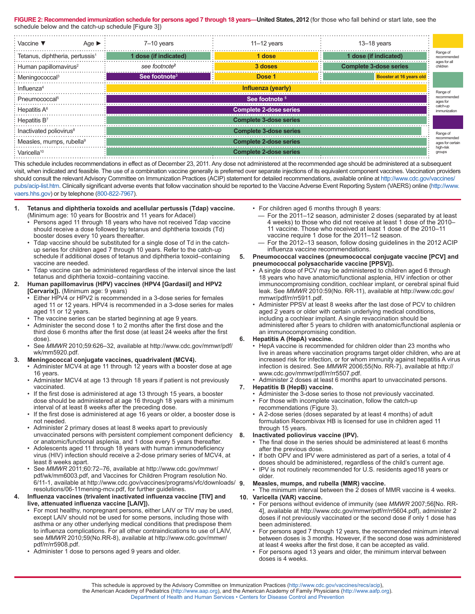FIGURE 2: Recommended immunization schedule for persons aged 7 through 18 years—United States, 2012 (for those who fall behind or start late, see the schedule below and the catch-up schedule [Figure 3])

| Age $\blacktriangleright$<br>$\cdot$ Vaccine $\blacktriangledown$ | 7-10 years                                   | $11 - 12$ years               | $13 - 18$ years               |                         |  |  |
|-------------------------------------------------------------------|----------------------------------------------|-------------------------------|-------------------------------|-------------------------|--|--|
| : Tetanus, diphtheria, pertussis <sup>1</sup>                     | 1 dose (if indicated)                        | 1 dose                        | 1 dose (if indicated)         | Range of<br>recommended |  |  |
| Human papillomavirus <sup>2</sup>                                 | see footnote <sup>2</sup>                    | 3 doses                       | <b>Complete 3-dose series</b> | ages for al<br>children |  |  |
| : Meningococcal <sup>3</sup>                                      | See footnote <sup>3</sup>                    | Dose 1                        | Booster at 16 years old       |                         |  |  |
| : Influenza <sup>4</sup>                                          | Influenza (yearly)                           |                               |                               |                         |  |  |
| Pneumococcal <sup>5</sup>                                         | See footnote <sup>5</sup>                    |                               |                               |                         |  |  |
| $\cdot$ Hepatitis A $^{6}$                                        | <b>Complete 2-dose series</b>                |                               |                               |                         |  |  |
| Hepatitis B <sup>7</sup>                                          | <b>Complete 3-dose series</b>                |                               |                               |                         |  |  |
| : Inactivated poliovirus <sup>8</sup>                             | <b>Complete 3-dose series</b>                |                               |                               |                         |  |  |
| Measles, mumps, rubella <sup>9</sup>                              | recommended<br><b>Complete 2-dose series</b> |                               |                               |                         |  |  |
| : Varicella <sup>10</sup>                                         |                                              | <b>Complete 2-dose series</b> |                               | high-risk<br>aroups     |  |  |

This schedule includes recommendations in effect as of December 23, 2011. Any dose not administered at the recommended age should be administered at a subsequent visit, when indicated and feasible. The use of a combination vaccine generally is preferred over separate injections of its equivalent component vaccines. Vaccination providers should consult the relevant Advisory Committee on Immunization Practices (ACIP) statement for detailed recommendations, available online at http://www.cdc.gov/vaccines/ pubs/acip-list.htm. Clinically significant adverse events that follow vaccination should be reported to the Vaccine Adverse Event Reporting System (VAERS) online (http://www. vaers.hhs.gov) or by telephone (800-822-7967).

- **1. Tetanus and diphtheria toxoids and acellular pertussis (Tdap) vaccine.** 
	- (Minimum age: 10 years for Boostrix and 11 years for Adacel) • Persons aged 11 through 18 years who have not received Tdap vaccine should receive a dose followed by tetanus and diphtheria toxoids (Td) booster doses every 10 years thereafter.
	- Tdap vaccine should be substituted for a single dose of Td in the catchup series for children aged 7 through 10 years. Refer to the catch-up schedule if additional doses of tetanus and diphtheria toxoid–containing vaccine are needed.
	- Tdap vaccine can be administered regardless of the interval since the last tetanus and diphtheria toxoid–containing vaccine.

#### **2. Human papillomavirus (HPV) vaccines (HPV4 [Gardasil] and HPV2 [Cervarix]).** (Minimum age: 9 years)

- Either HPV4 or HPV2 is recommended in a 3-dose series for females aged 11 or 12 years. HPV4 is recommended in a 3-dose series for males aged 11 or 12 years.
- The vaccine series can be started beginning at age 9 years.
- Administer the second dose 1 to 2 months after the first dose and the third dose 6 months after the first dose (at least 24 weeks after the first dose).
- See *MMWR* 2010;59:626–32, available at http://www.cdc.gov/mmwr/pdf/ wk/mm5920.pdf.

## **3. Meningococcal conjugate vaccines, quadrivalent (MCV4).**

- Administer MCV4 at age 11 through 12 years with a booster dose at age 16 years.
- Administer MCV4 at age 13 through 18 years if patient is not previously vaccinated.
- If the first dose is administered at age 13 through 15 years, a booster dose should be administered at age 16 through 18 years with a minimum interval of at least 8 weeks after the preceding dose.
- If the first dose is administered at age 16 years or older, a booster dose is not needed.
- Administer 2 primary doses at least 8 weeks apart to previously unvaccinated persons with persistent complement component deficiency or anatomic/functional asplenia, and 1 dose every 5 years thereafter.
- Adolescents aged 11 through 18 years with human immunodeficiency virus (HIV) infection should receive a 2-dose primary series of MCV4, at least 8 weeks apart.
- See *MMWR* 2011;60:72–76, available at http://www.cdc.gov/mmwr/ pdf/wk/mm6003.pdf, and Vaccines for Children Program resolution No. 6/11-1, available at http://www.cdc.gov/vaccines/programs/vfc/downloads/ 9. resolutions/06-11mening-mcv.pdf, for further guidelines.

#### **4. Influenza vaccines (trivalent inactivated influenza vaccine [TIV] and live, attenuated influenza vaccine [LAIV]).**

- For most healthy, nonpregnant persons, either LAIV or TIV may be used, except LAIV should not be used for some persons, including those with asthma or any other underlying medical conditions that predispose them to influenza complications. For all other contraindications to use of LAIV, see *MMWR* 2010;59(No.RR-8), available at http://www.cdc.gov/mmwr/ pdf/rr/rr5908.pdf.
- Administer 1 dose to persons aged 9 years and older.
- For children aged 6 months through 8 years:
	- For the 2011–12 season, administer 2 doses (separated by at least 4 weeks) to those who did not receive at least 1 dose of the 2010– 11 vaccine. Those who received at least 1 dose of the 2010–11 vaccine require 1 dose for the 2011–12 season.
	- For the 2012–13 season, follow dosing guidelines in the 2012 ACIP influenza vaccine recommendations.
- **5. Pneumococcal vaccines (pneumococcal conjugate vaccine [PCV] and pneumococcal polysaccharide vaccine [PPSV]).** 
	- A single dose of PCV may be administered to children aged 6 through 18 years who have anatomic/functional asplenia, HIV infection or other immunocompromising condition, cochlear implant, or cerebral spinal fluid leak. See *MMWR* 2010:59(No. RR-11), available at http://www.cdc.gov/ mmwr/pdf/rr/rr5911.pdf.
	- Administer PPSV at least 8 weeks after the last dose of PCV to children aged 2 years or older with certain underlying medical conditions, including a cochlear implant. A single revaccination should be administered after 5 years to children with anatomic/functional asplenia or an immunocompromising condition.

## **6. Hepatitis A (HepA) vaccine.**

- HepA vaccine is recommended for children older than 23 months who live in areas where vaccination programs target older children, who are at increased risk for infection, or for whom immunity against hepatitis A virus infection is desired. See *MMWR* 2006;55(No. RR-7), available at http:// www.cdc.gov/mmwr/pdf/rr/rr5507.pdf.
- Administer 2 doses at least 6 months apart to unvaccinated persons.

## **7. Hepatitis B (HepB) vaccine.**

- Administer the 3-dose series to those not previously vaccinated.
- For those with incomplete vaccination, follow the catch-up recommendations (Figure 3).
- A 2-dose series (doses separated by at least 4 months) of adult formulation Recombivax HB is licensed for use in children aged 11 through 15 years.

#### **8. Inactivated poliovirus vaccine (IPV).**

- The final dose in the series should be administered at least 6 months after the previous dose.
- If both OPV and IPV were administered as part of a series, a total of 4 doses should be administered, regardless of the child's current age.
- IPV is not routinely recommended for U.S. residents aged18 years or older.

## **9. Measles, mumps, and rubella (MMR) vaccine.**

• The minimum interval between the 2 doses of MMR vaccine is 4 weeks.

- **10. Varicella (VAR) vaccine.** 
	- For persons without evidence of immunity (see *MMWR* 2007;56[No. RR-4], available at http://www.cdc.gov/mmwr/pdf/rr/rr5604.pdf), administer 2 doses if not previously vaccinated or the second dose if only 1 dose has been administered.
	- For persons aged 7 through 12 years, the recommended minimum interval between doses is 3 months. However, if the second dose was administered at least 4 weeks after the first dose, it can be accepted as valid.
	- For persons aged 13 years and older, the minimum interval between doses is 4 weeks.